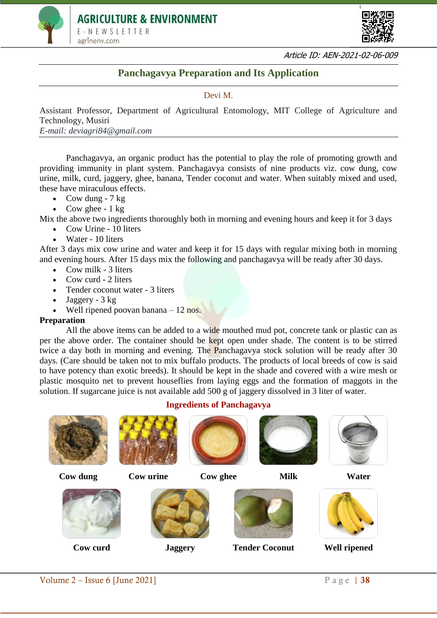



Article ID: AEN-2021-02-06-009

## **Panchagavya Preparation and Its Application**

## Devi M.

Assistant Professor, Department of Agricultural Entomology, MIT College of Agriculture and Technology, Musiri *E-mail: deviagri84@gmail.com*

Panchagavya, an organic product has the potential to play the role of promoting growth and providing immunity in plant system. Panchagavya consists of nine products viz. cow dung, cow urine, milk, curd, jaggery, ghee, banana, Tender coconut and water. When suitably mixed and used, these have miraculous effects.

- Cow dung  $7 \text{ kg}$
- Cow ghee  $-1$  kg

Mix the above two ingredients thoroughly both in morning and evening hours and keep it for 3 days

- Cow Urine 10 liters
- Water 10 liters

After 3 days mix cow urine and water and keep it for 15 days with regular mixing both in morning and evening hours. After 15 days mix the following and panchagavya will be ready after 30 days.

- $\bullet$  Cow milk 3 liters
- Cow curd  $2$  liters
- Tender coconut water 3 liters
- Jaggery 3 kg
- Well ripened poovan banana 12 nos.

## **Preparation**

All the above items can be added to a wide mouthed mud pot, concrete tank or plastic can as per the above order. The container should be kept open under shade. The content is to be stirred twice a day both in morning and evening. The Panchagavya stock solution will be ready after 30 days. (Care should be taken not to mix buffalo products. The products of local breeds of cow is said to have potency than exotic breeds). It should be kept in the shade and covered with a wire mesh or plastic mosquito net to prevent houseflies from laying eggs and the formation of maggots in the solution. If sugarcane juice is not available add 500 g of jaggery dissolved in 3 liter of water.

# **Ingredients of Panchagavya**

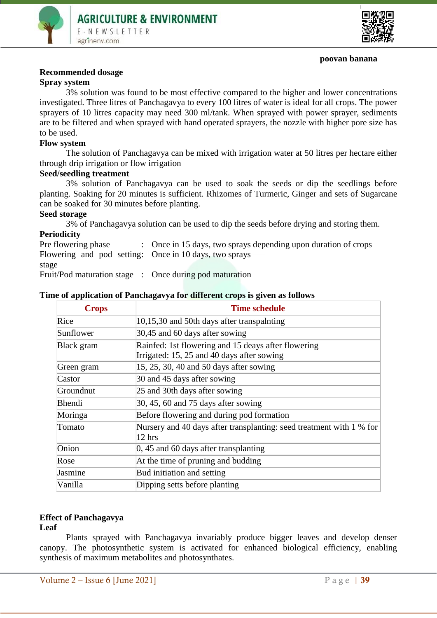



#### **poovan banana**

#### **Recommended dosage**

#### **Spray system**

3% solution was found to be most effective compared to the higher and lower concentrations investigated. Three litres of Panchagavya to every 100 litres of water is ideal for all crops. The power sprayers of 10 litres capacity may need 300 ml/tank. When sprayed with power sprayer, sediments are to be filtered and when sprayed with hand operated sprayers, the nozzle with higher pore size has to be used.

#### **Flow system**

The solution of Panchagavya can be mixed with irrigation water at 50 litres per hectare either through drip irrigation or flow irrigation

## **Seed/seedling treatment**

3% solution of Panchagavya can be used to soak the seeds or dip the seedlings before planting. Soaking for 20 minutes is sufficient. Rhizomes of Turmeric, Ginger and sets of Sugarcane can be soaked for 30 minutes before planting.

#### **Seed storage**

3% of Panchagavya solution can be used to dip the seeds before drying and storing them.

#### **Periodicity**

Pre flowering phase : Once in 15 days, two sprays depending upon duration of crops Flowering and pod setting: Once in 10 days, two sprays stage

Fruit/Pod maturation stage : Once during pod maturation

| <b>Crops</b> | <b>Time schedule</b>                                                                              |
|--------------|---------------------------------------------------------------------------------------------------|
| Rice         | 10,15,30 and 50th days after transpalnting                                                        |
| Sunflower    | 30,45 and 60 days after sowing                                                                    |
| Black gram   | Rainfed: 1st flowering and 15 deays after flowering<br>Irrigated: 15, 25 and 40 days after sowing |
| Green gram   | 15, 25, 30, 40 and 50 days after sowing                                                           |
| Castor       | 30 and 45 days after sowing                                                                       |
| Groundnut    | 25 and 30th days after sowing                                                                     |
| Bhendi       | $30, 45, 60$ and 75 days after sowing                                                             |
| Moringa      | Before flowering and during pod formation                                                         |
| Tomato       | Nursery and 40 days after transplanting: seed treatment with 1 % for<br>$12$ hrs                  |
| Onion        | $\vert 0, 45 \rangle$ and 60 days after transplanting                                             |
| Rose         | At the time of pruning and budding                                                                |
| Jasmine      | Bud initiation and setting                                                                        |
| Vanilla      | Dipping setts before planting                                                                     |

## **Time of application of Panchagavya for different crops is given as follows**

## **Effect of Panchagavya**

#### **Leaf**

Plants sprayed with Panchagavya invariably produce bigger leaves and develop denser canopy. The photosynthetic system is activated for enhanced biological efficiency, enabling synthesis of maximum metabolites and photosynthates.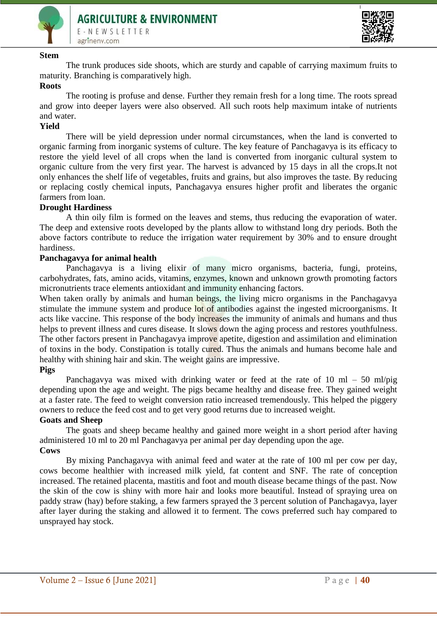



#### **Stem**

The trunk produces side shoots, which are sturdy and capable of carrying maximum fruits to maturity. Branching is comparatively high.

## **Roots**

The rooting is profuse and dense. Further they remain fresh for a long time. The roots spread and grow into deeper layers were also observed. All such roots help maximum intake of nutrients and water.

#### **Yield**

There will be yield depression under normal circumstances, when the land is converted to organic farming from inorganic systems of culture. The key feature of Panchagavya is its efficacy to restore the yield level of all crops when the land is converted from inorganic cultural system to organic culture from the very first year. The harvest is advanced by 15 days in all the crops.It not only enhances the shelf life of vegetables, fruits and grains, but also improves the taste. By reducing or replacing costly chemical inputs, Panchagavya ensures higher profit and liberates the organic farmers from loan.

#### **Drought Hardiness**

A thin oily film is formed on the leaves and stems, thus reducing the evaporation of water. The deep and extensive roots developed by the plants allow to withstand long dry periods. Both the above factors contribute to reduce the irrigation water requirement by 30% and to ensure drought hardiness.

#### **Panchagavya for animal health**

Panchagavya is a living elixir of many micro organisms, bacteria, fungi, proteins, carbohydrates, fats, amino acids, vitamins, enzymes, known and unknown growth promoting factors micronutrients trace elements antioxidant and immunity enhancing factors.

When taken orally by animals and human beings, the living micro organisms in the Panchagavya stimulate the immune system and produce lot of antibodies against the ingested microorganisms. It acts like vaccine. This response of the body increases the immunity of animals and humans and thus helps to prevent illness and cures disease. It slows down the aging process and restores youthfulness. The other factors present in Panchagavya improve apetite, digestion and assimilation and elimination of toxins in the body. Constipation is totally cured. Thus the animals and humans become hale and healthy with shining hair and skin. The weight gains are impressive.

## **Pigs**

Panchagavya was mixed with drinking water or feed at the rate of 10 ml  $-$  50 ml/pig depending upon the age and weight. The pigs became healthy and disease free. They gained weight at a faster rate. The feed to weight conversion ratio increased tremendously. This helped the piggery owners to reduce the feed cost and to get very good returns due to increased weight.

#### **Goats and Sheep**

The goats and sheep became healthy and gained more weight in a short period after having administered 10 ml to 20 ml Panchagavya per animal per day depending upon the age. **Cows**

By mixing Panchagavya with animal feed and water at the rate of 100 ml per cow per day, cows become healthier with increased milk yield, fat content and SNF. The rate of conception increased. The retained placenta, mastitis and foot and mouth disease became things of the past. Now the skin of the cow is shiny with more hair and looks more beautiful. Instead of spraying urea on paddy straw (hay) before staking, a few farmers sprayed the 3 percent solution of Panchagavya, layer after layer during the staking and allowed it to ferment. The cows preferred such hay compared to unsprayed hay stock.